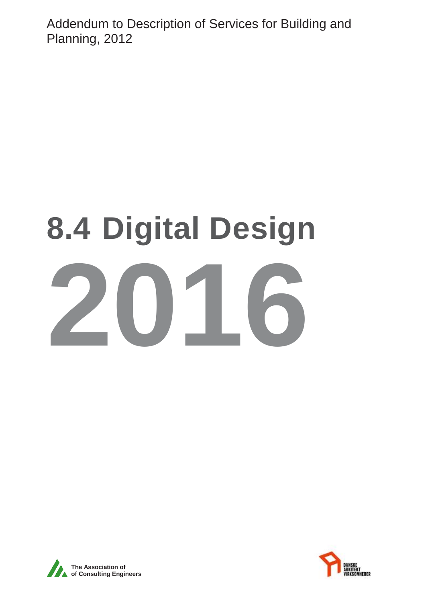Addendum to Description of Services for Building and Planning, 2012

# **8.4 Digital Design 2016**



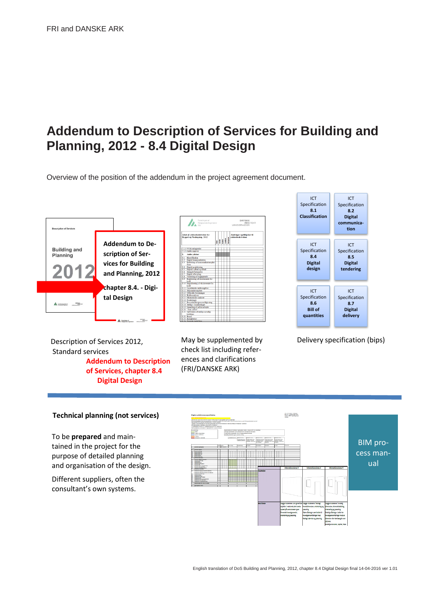# **Addendum to Description of Services for Building and Planning, 2012 - 8.4 Digital Design**

Overview of the position of the addendum in the project agreement document.



Description of Services 2012, Standard services **Addendum to Description of Services, chapter 8.4 Digital Design** 

| Foreningen af<br>$\sum_{m=1}^{N}$<br>Rådgivende Ingeniører                 |                                                  |   | DROSKE<br><b>ARKITEKT</b><br>VIRKSOMHEDER |  |                                                                                          |  |                                                    |
|----------------------------------------------------------------------------|--------------------------------------------------|---|-------------------------------------------|--|------------------------------------------------------------------------------------------|--|----------------------------------------------------|
| Afsnit if, vdelsesbeskrivelser for<br><b>Byggeri og Planlægning</b> , 2012 |                                                  | Į |                                           |  | $\begin{array}{c} \begin{array}{c} \begin{array}{c} \end{array} \end{array} \end{array}$ |  | Ændringer og tilføjelser til<br>vdekesbeskrivelsen |
|                                                                            | 7.1.3 VVM-redepatelse                            |   |                                           |  |                                                                                          |  |                                                    |
|                                                                            | 7.1.4 Andre opgaver                              |   |                                           |  |                                                                                          |  |                                                    |
| 8.                                                                         | Andre ydelser                                    |   |                                           |  |                                                                                          |  |                                                    |
| $\overline{\mathbf{x}}$ <sub>1</sub>                                       | Klassifikation                                   |   |                                           |  |                                                                                          |  |                                                    |
|                                                                            | 8.2 Digital kommunikation                        |   |                                           |  |                                                                                          |  |                                                    |
|                                                                            | 8.3 Etablering af kommunikationsplat-            |   |                                           |  |                                                                                          |  |                                                    |
|                                                                            | form                                             |   |                                           |  |                                                                                          |  |                                                    |
| \$4                                                                        | Digital projektering                             |   |                                           |  |                                                                                          |  |                                                    |
| 85                                                                         | Digitalt udbud og tilbud                         |   |                                           |  |                                                                                          |  |                                                    |
| 8.6                                                                        | Mengdefortemelse                                 |   |                                           |  |                                                                                          |  |                                                    |
| 87                                                                         | Digital aflevering                               |   |                                           |  |                                                                                          |  |                                                    |
| 8.8                                                                        | Vurdering af byggegunde                          |   |                                           |  |                                                                                          |  |                                                    |
| 8.9                                                                        | Registrering of eksisterende for-<br>hold        |   |                                           |  |                                                                                          |  |                                                    |
|                                                                            | 8.10 Disitalisering af eksisterende for-<br>hold |   |                                           |  |                                                                                          |  |                                                    |
|                                                                            | 8.11 Geotekniske undersogelser                   |   |                                           |  |                                                                                          |  |                                                    |
|                                                                            | 8.12 Milioundersopelser                          |   |                                           |  |                                                                                          |  |                                                    |
|                                                                            | 8.13 Officielle forretninger                     |   |                                           |  |                                                                                          |  |                                                    |
|                                                                            | 8.14 Risikosnalvser                              |   |                                           |  |                                                                                          |  |                                                    |
|                                                                            | 8.15 Okonomiske analyser                         |   |                                           |  |                                                                                          |  |                                                    |
|                                                                            | 8.16 Forsikringer                                |   |                                           |  |                                                                                          |  |                                                    |
|                                                                            | 8.17 Processedelse/processadgivning              |   |                                           |  |                                                                                          |  |                                                    |
|                                                                            | 8.18 Særlige visualiseringer                     |   |                                           |  |                                                                                          |  |                                                    |
|                                                                            | 8.19 Opmaling af udført arbeide                  |   |                                           |  |                                                                                          |  |                                                    |
|                                                                            | 8.20 "Som udfort"                                |   |                                           |  |                                                                                          |  |                                                    |
|                                                                            | 8.21 Opfyldelse af særlige myndig-<br>heddray    |   |                                           |  |                                                                                          |  |                                                    |
|                                                                            | \$22 Brand                                       |   |                                           |  |                                                                                          |  |                                                    |
|                                                                            | 8.23 Energibehov                                 |   |                                           |  |                                                                                          |  |                                                    |
|                                                                            | $\overline{\cdots}$                              |   |                                           |  |                                                                                          |  |                                                    |

check list including references and clarifications (FRI/DANSKE ARK)



May be supplemented by Delivery specification (bips)

#### **Technical planning (not services)**

To be **prepared** and maintained in the project for the purpose of detailed planning and organisation of the design.

Different suppliers, often the consultant's own systems.

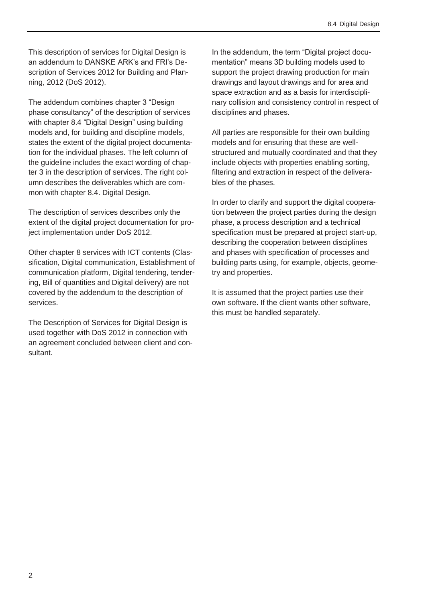This description of services for Digital Design is an addendum to DANSKE ARK's and FRI's Description of Services 2012 for Building and Planning, 2012 (DoS 2012).

The addendum combines chapter 3 "Design phase consultancy" of the description of services with chapter 8.4 "Digital Design" using building models and, for building and discipline models, states the extent of the digital project documentation for the individual phases. The left column of the guideline includes the exact wording of chapter 3 in the description of services. The right column describes the deliverables which are common with chapter 8.4. Digital Design.

The description of services describes only the extent of the digital project documentation for project implementation under DoS 2012.

Other chapter 8 services with ICT contents (Classification, Digital communication, Establishment of communication platform, Digital tendering, tendering, Bill of quantities and Digital delivery) are not covered by the addendum to the description of services.

The Description of Services for Digital Design is used together with DoS 2012 in connection with an agreement concluded between client and consultant.

In the addendum, the term "Digital project documentation" means 3D building models used to support the project drawing production for main drawings and layout drawings and for area and space extraction and as a basis for interdisciplinary collision and consistency control in respect of disciplines and phases.

All parties are responsible for their own building models and for ensuring that these are wellstructured and mutually coordinated and that they include objects with properties enabling sorting, filtering and extraction in respect of the deliverables of the phases.

In order to clarify and support the digital cooperation between the project parties during the design phase, a process description and a technical specification must be prepared at project start-up, describing the cooperation between disciplines and phases with specification of processes and building parts using, for example, objects, geometry and properties.

It is assumed that the project parties use their own software. If the client wants other software, this must be handled separately.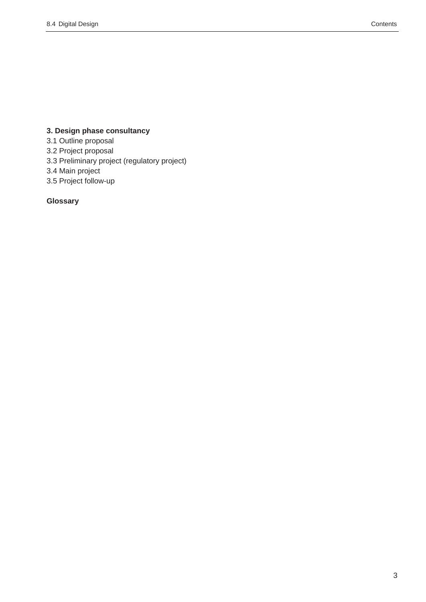# **3. Design phase consultancy**

3.1 Outline proposal

3.2 Project proposal

3.3 Preliminary project (regulatory project)

3.4 Main project

3.5 Project follow-up

# **Glossary**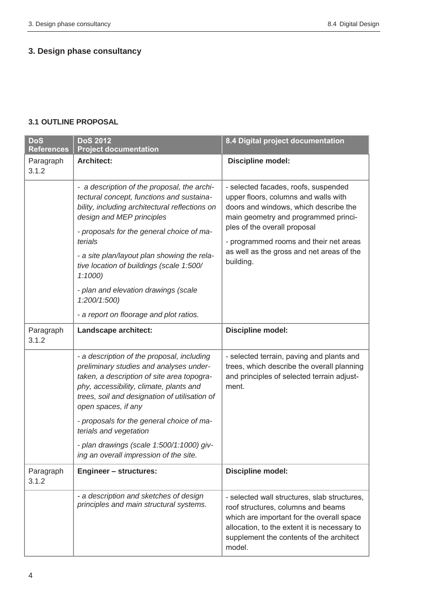# **3. Design phase consultancy**

#### **3.1 OUTLINE PROPOSAL**

| <b>DoS</b><br><b>References</b> | <b>DoS 2012</b><br><b>Project documentation</b>                                                                                                                                                                                                                                                                                                                                                                                         | 8.4 Digital project documentation                                                                                                                                                                                                                                                                 |
|---------------------------------|-----------------------------------------------------------------------------------------------------------------------------------------------------------------------------------------------------------------------------------------------------------------------------------------------------------------------------------------------------------------------------------------------------------------------------------------|---------------------------------------------------------------------------------------------------------------------------------------------------------------------------------------------------------------------------------------------------------------------------------------------------|
| Paragraph<br>3.1.2              | <b>Architect:</b>                                                                                                                                                                                                                                                                                                                                                                                                                       | Discipline model:                                                                                                                                                                                                                                                                                 |
|                                 | - a description of the proposal, the archi-<br>tectural concept, functions and sustaina-<br>bility, including architectural reflections on<br>design and MEP principles<br>- proposals for the general choice of ma-<br>terials<br>- a site plan/layout plan showing the rela-<br>tive location of buildings (scale 1:500/<br>1:1000<br>- plan and elevation drawings (scale<br>1:200/1:500)<br>- a report on floorage and plot ratios. | - selected facades, roofs, suspended<br>upper floors, columns and walls with<br>doors and windows, which describe the<br>main geometry and programmed princi-<br>ples of the overall proposal<br>- programmed rooms and their net areas<br>as well as the gross and net areas of the<br>building. |
| Paragraph<br>3.1.2              | Landscape architect:                                                                                                                                                                                                                                                                                                                                                                                                                    | Discipline model:                                                                                                                                                                                                                                                                                 |
|                                 | - a description of the proposal, including<br>preliminary studies and analyses under-<br>taken, a description of site area topogra-<br>phy, accessibility, climate, plants and<br>trees, soil and designation of utilisation of<br>open spaces, if any                                                                                                                                                                                  | - selected terrain, paving and plants and<br>trees, which describe the overall planning<br>and principles of selected terrain adjust-<br>ment.                                                                                                                                                    |
|                                 | - proposals for the general choice of ma-<br>terials and vegetation                                                                                                                                                                                                                                                                                                                                                                     |                                                                                                                                                                                                                                                                                                   |
|                                 | - plan drawings (scale 1:500/1:1000) giv-<br>ing an overall impression of the site.                                                                                                                                                                                                                                                                                                                                                     |                                                                                                                                                                                                                                                                                                   |
| Paragraph<br>3.1.2              | <b>Engineer - structures:</b>                                                                                                                                                                                                                                                                                                                                                                                                           | <b>Discipline model:</b>                                                                                                                                                                                                                                                                          |
|                                 | - a description and sketches of design<br>principles and main structural systems.                                                                                                                                                                                                                                                                                                                                                       | - selected wall structures, slab structures,<br>roof structures, columns and beams<br>which are important for the overall space<br>allocation, to the extent it is necessary to<br>supplement the contents of the architect<br>model.                                                             |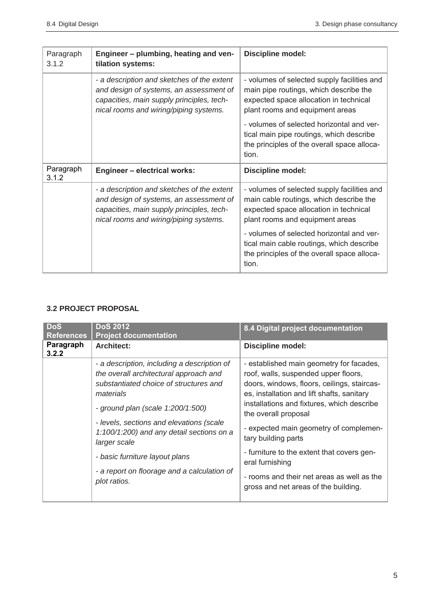| Paragraph<br>3.1.2 | Engineer - plumbing, heating and ven-<br>tilation systems:                                                                                                                   | <b>Discipline model:</b>                                                                                                                                            |
|--------------------|------------------------------------------------------------------------------------------------------------------------------------------------------------------------------|---------------------------------------------------------------------------------------------------------------------------------------------------------------------|
|                    | - a description and sketches of the extent<br>and design of systems, an assessment of<br>capacities, main supply principles, tech-<br>nical rooms and wiring/piping systems. | - volumes of selected supply facilities and<br>main pipe routings, which describe the<br>expected space allocation in technical<br>plant rooms and equipment areas  |
|                    |                                                                                                                                                                              | - volumes of selected horizontal and ver-<br>tical main pipe routings, which describe<br>the principles of the overall space alloca-<br>tion.                       |
| Paragraph<br>3.1.2 | <b>Engineer - electrical works:</b>                                                                                                                                          | Discipline model:                                                                                                                                                   |
|                    | - a description and sketches of the extent<br>and design of systems, an assessment of<br>capacities, main supply principles, tech-<br>nical rooms and wiring/piping systems. | - volumes of selected supply facilities and<br>main cable routings, which describe the<br>expected space allocation in technical<br>plant rooms and equipment areas |
|                    |                                                                                                                                                                              | - volumes of selected horizontal and ver-<br>tical main cable routings, which describe<br>the principles of the overall space alloca-<br>tion.                      |

# **3.2 PROJECT PROPOSAL**

| Paragraph<br><b>Architect:</b><br><b>Discipline model:</b>                                                                                                                                                                                                                                                                                                                                                                                                                                                                                                                                                                                                                                                                                                                                                                                                                 |  |
|----------------------------------------------------------------------------------------------------------------------------------------------------------------------------------------------------------------------------------------------------------------------------------------------------------------------------------------------------------------------------------------------------------------------------------------------------------------------------------------------------------------------------------------------------------------------------------------------------------------------------------------------------------------------------------------------------------------------------------------------------------------------------------------------------------------------------------------------------------------------------|--|
| 3.2.2                                                                                                                                                                                                                                                                                                                                                                                                                                                                                                                                                                                                                                                                                                                                                                                                                                                                      |  |
| - a description, including a description of<br>- established main geometry for facades,<br>the overall architectural approach and<br>roof, walls, suspended upper floors,<br>substantiated choice of structures and<br>doors, windows, floors, ceilings, staircas-<br>es, installation and lift shafts, sanitary<br>materials<br>installations and fixtures, which describe<br>- ground plan (scale 1:200/1:500)<br>the overall proposal<br>- levels, sections and elevations (scale<br>- expected main geometry of complemen-<br>1:100/1:200) and any detail sections on a<br>tary building parts<br>larger scale<br>- furniture to the extent that covers gen-<br>- basic furniture layout plans<br>eral furnishing<br>- a report on floorage and a calculation of<br>- rooms and their net areas as well as the<br>plot ratios.<br>gross and net areas of the building. |  |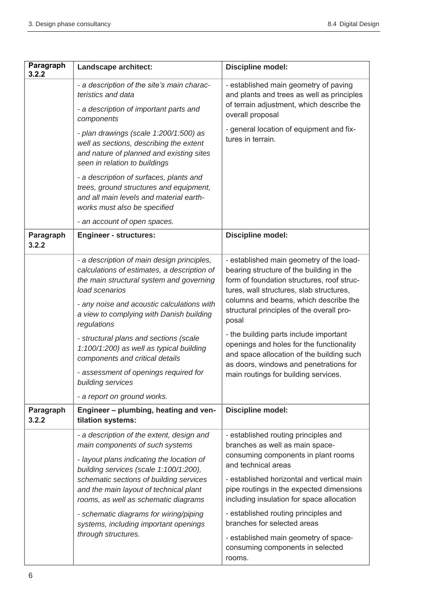| Paragraph<br>3.2.2 | Landscape architect:                                                                                                                                                                                                                                                                                                                                                                                                                                                                                                            | Discipline model:                                                                                                                                                                                                                                                                                                                                                                                                                                                                                                       |
|--------------------|---------------------------------------------------------------------------------------------------------------------------------------------------------------------------------------------------------------------------------------------------------------------------------------------------------------------------------------------------------------------------------------------------------------------------------------------------------------------------------------------------------------------------------|-------------------------------------------------------------------------------------------------------------------------------------------------------------------------------------------------------------------------------------------------------------------------------------------------------------------------------------------------------------------------------------------------------------------------------------------------------------------------------------------------------------------------|
|                    | - a description of the site's main charac-<br>teristics and data<br>- a description of important parts and<br>components                                                                                                                                                                                                                                                                                                                                                                                                        | - established main geometry of paving<br>and plants and trees as well as principles<br>of terrain adjustment, which describe the<br>overall proposal                                                                                                                                                                                                                                                                                                                                                                    |
|                    | - plan drawings (scale 1:200/1:500) as<br>well as sections, describing the extent<br>and nature of planned and existing sites<br>seen in relation to buildings                                                                                                                                                                                                                                                                                                                                                                  | - general location of equipment and fix-<br>tures in terrain.                                                                                                                                                                                                                                                                                                                                                                                                                                                           |
|                    | - a description of surfaces, plants and<br>trees, ground structures and equipment,<br>and all main levels and material earth-<br>works must also be specified                                                                                                                                                                                                                                                                                                                                                                   |                                                                                                                                                                                                                                                                                                                                                                                                                                                                                                                         |
|                    | - an account of open spaces.                                                                                                                                                                                                                                                                                                                                                                                                                                                                                                    |                                                                                                                                                                                                                                                                                                                                                                                                                                                                                                                         |
| Paragraph<br>3.2.2 | <b>Engineer - structures:</b>                                                                                                                                                                                                                                                                                                                                                                                                                                                                                                   | Discipline model:                                                                                                                                                                                                                                                                                                                                                                                                                                                                                                       |
| Paragraph          | - a description of main design principles,<br>calculations of estimates, a description of<br>the main structural system and governing<br>load scenarios<br>- any noise and acoustic calculations with<br>a view to complying with Danish building<br>regulations<br>- structural plans and sections (scale<br>1:100/1:200) as well as typical building<br>components and critical details<br>- assessment of openings required for<br>building services<br>- a report on ground works.<br>Engineer - plumbing, heating and ven- | - established main geometry of the load-<br>bearing structure of the building in the<br>form of foundation structures, roof struc-<br>tures, wall structures, slab structures,<br>columns and beams, which describe the<br>structural principles of the overall pro-<br>posal<br>- the building parts include important<br>openings and holes for the functionality<br>and space allocation of the building such<br>as doors, windows and penetrations for<br>main routings for building services.<br>Discipline model: |
| 3.2.2              | tilation systems:                                                                                                                                                                                                                                                                                                                                                                                                                                                                                                               |                                                                                                                                                                                                                                                                                                                                                                                                                                                                                                                         |
|                    | - a description of the extent, design and<br>main components of such systems<br>- layout plans indicating the location of                                                                                                                                                                                                                                                                                                                                                                                                       | - established routing principles and<br>branches as well as main space-<br>consuming components in plant rooms<br>and technical areas                                                                                                                                                                                                                                                                                                                                                                                   |
|                    | building services (scale 1:100/1:200),<br>schematic sections of building services<br>and the main layout of technical plant<br>rooms, as well as schematic diagrams                                                                                                                                                                                                                                                                                                                                                             | - established horizontal and vertical main<br>pipe routings in the expected dimensions<br>including insulation for space allocation                                                                                                                                                                                                                                                                                                                                                                                     |
|                    | - schematic diagrams for wiring/piping<br>systems, including important openings                                                                                                                                                                                                                                                                                                                                                                                                                                                 | - established routing principles and<br>branches for selected areas                                                                                                                                                                                                                                                                                                                                                                                                                                                     |
|                    | through structures.                                                                                                                                                                                                                                                                                                                                                                                                                                                                                                             | - established main geometry of space-<br>consuming components in selected<br>rooms.                                                                                                                                                                                                                                                                                                                                                                                                                                     |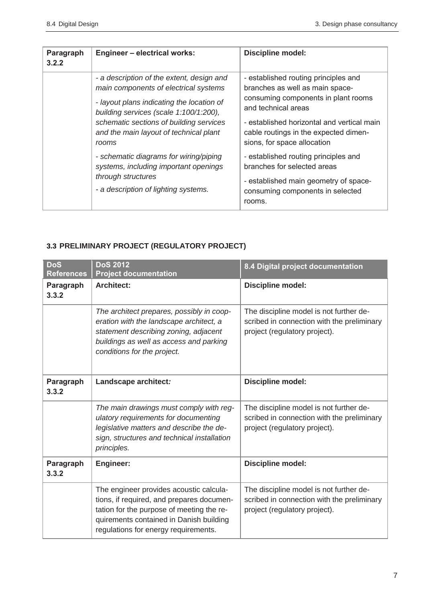| Paragraph<br>3.2.2 | <b>Engineer - electrical works:</b>                                                                                                                                                                                                                                     | <b>Discipline model:</b>                                                                                                                                                                                                                                    |
|--------------------|-------------------------------------------------------------------------------------------------------------------------------------------------------------------------------------------------------------------------------------------------------------------------|-------------------------------------------------------------------------------------------------------------------------------------------------------------------------------------------------------------------------------------------------------------|
|                    | - a description of the extent, design and<br>main components of electrical systems<br>- layout plans indicating the location of<br>building services (scale 1:100/1:200),<br>schematic sections of building services<br>and the main layout of technical plant<br>rooms | - established routing principles and<br>branches as well as main space-<br>consuming components in plant rooms<br>and technical areas<br>- established horizontal and vertical main<br>cable routings in the expected dimen-<br>sions, for space allocation |
|                    | - schematic diagrams for wiring/piping<br>systems, including important openings<br>through structures<br>- a description of lighting systems.                                                                                                                           | - established routing principles and<br>branches for selected areas<br>- established main geometry of space-<br>consuming components in selected<br>rooms.                                                                                                  |

# **3.3 PRELIMINARY PROJECT (REGULATORY PROJECT)**

| <b>DoS</b><br><b>References</b> | <b>DoS 2012</b><br><b>Project documentation</b>                                                                                                                                                                      | 8.4 Digital project documentation                                                                                      |
|---------------------------------|----------------------------------------------------------------------------------------------------------------------------------------------------------------------------------------------------------------------|------------------------------------------------------------------------------------------------------------------------|
| Paragraph<br>3.3.2              | <b>Architect:</b>                                                                                                                                                                                                    | Discipline model:                                                                                                      |
|                                 | The architect prepares, possibly in coop-<br>eration with the landscape architect, a<br>statement describing zoning, adjacent<br>buildings as well as access and parking<br>conditions for the project.              | The discipline model is not further de-<br>scribed in connection with the preliminary<br>project (regulatory project). |
| Paragraph<br>3.3.2              | Landscape architect:                                                                                                                                                                                                 | <b>Discipline model:</b>                                                                                               |
|                                 | The main drawings must comply with reg-<br>ulatory requirements for documenting<br>legislative matters and describe the de-<br>sign, structures and technical installation<br>principles.                            | The discipline model is not further de-<br>scribed in connection with the preliminary<br>project (regulatory project). |
| Paragraph<br>3.3.2              | <b>Engineer:</b>                                                                                                                                                                                                     | <b>Discipline model:</b>                                                                                               |
|                                 | The engineer provides acoustic calcula-<br>tions, if required, and prepares documen-<br>tation for the purpose of meeting the re-<br>quirements contained in Danish building<br>regulations for energy requirements. | The discipline model is not further de-<br>scribed in connection with the preliminary<br>project (regulatory project). |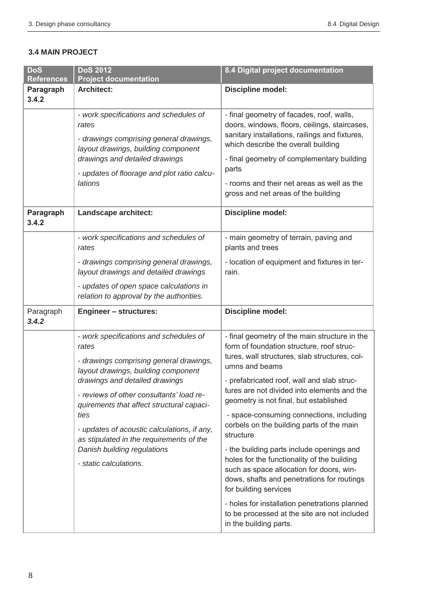#### **3.4 MAIN PROJECT**

| <b>DoS</b><br><b>References</b> | <b>DoS 2012</b><br><b>Project documentation</b>                                                                                                                                                                                                                                                                                                                                                                          | 8.4 Digital project documentation                                                                                                                                                                                                                                                                                                                                                                                                                                                                                                                                                                                                                                                                                                                    |
|---------------------------------|--------------------------------------------------------------------------------------------------------------------------------------------------------------------------------------------------------------------------------------------------------------------------------------------------------------------------------------------------------------------------------------------------------------------------|------------------------------------------------------------------------------------------------------------------------------------------------------------------------------------------------------------------------------------------------------------------------------------------------------------------------------------------------------------------------------------------------------------------------------------------------------------------------------------------------------------------------------------------------------------------------------------------------------------------------------------------------------------------------------------------------------------------------------------------------------|
| Paragraph<br>3.4.2              | <b>Architect:</b>                                                                                                                                                                                                                                                                                                                                                                                                        | Discipline model:                                                                                                                                                                                                                                                                                                                                                                                                                                                                                                                                                                                                                                                                                                                                    |
|                                 | - work specifications and schedules of<br>rates<br>- drawings comprising general drawings,<br>layout drawings, building component<br>drawings and detailed drawings<br>- updates of floorage and plot ratio calcu-<br>lations                                                                                                                                                                                            | - final geometry of facades, roof, walls,<br>doors, windows, floors, ceilings, staircases,<br>sanitary installations, railings and fixtures,<br>which describe the overall building<br>- final geometry of complementary building<br>parts<br>- rooms and their net areas as well as the<br>gross and net areas of the building                                                                                                                                                                                                                                                                                                                                                                                                                      |
| Paragraph<br>3.4.2              | Landscape architect:                                                                                                                                                                                                                                                                                                                                                                                                     | Discipline model:                                                                                                                                                                                                                                                                                                                                                                                                                                                                                                                                                                                                                                                                                                                                    |
|                                 | - work specifications and schedules of<br>rates                                                                                                                                                                                                                                                                                                                                                                          | - main geometry of terrain, paving and<br>plants and trees                                                                                                                                                                                                                                                                                                                                                                                                                                                                                                                                                                                                                                                                                           |
|                                 | - drawings comprising general drawings,<br>layout drawings and detailed drawings                                                                                                                                                                                                                                                                                                                                         | - location of equipment and fixtures in ter-<br>rain.                                                                                                                                                                                                                                                                                                                                                                                                                                                                                                                                                                                                                                                                                                |
|                                 | - updates of open space calculations in<br>relation to approval by the authorities.                                                                                                                                                                                                                                                                                                                                      |                                                                                                                                                                                                                                                                                                                                                                                                                                                                                                                                                                                                                                                                                                                                                      |
| Paragraph<br>3.4.2              | <b>Engineer - structures:</b>                                                                                                                                                                                                                                                                                                                                                                                            | Discipline model:                                                                                                                                                                                                                                                                                                                                                                                                                                                                                                                                                                                                                                                                                                                                    |
|                                 | - work specifications and schedules of<br>rates<br>- drawings comprising general drawings,<br>layout drawings, building component<br>drawings and detailed drawings<br>- reviews of other consultants' load re-<br>quirements that affect structural capaci-<br>ties<br>- updates of acoustic calculations, if any,<br>as stipulated in the requirements of the<br>Danish building regulations<br>- static calculations. | - final geometry of the main structure in the<br>form of foundation structure, roof struc-<br>tures, wall structures, slab structures, col-<br>umns and beams<br>- prefabricated roof, wall and slab struc-<br>tures are not divided into elements and the<br>geometry is not final, but established<br>- space-consuming connections, including<br>corbels on the building parts of the main<br>structure<br>- the building parts include openings and<br>holes for the functionality of the building<br>such as space allocation for doors, win-<br>dows, shafts and penetrations for routings<br>for building services<br>- holes for installation penetrations planned<br>to be processed at the site are not included<br>in the building parts. |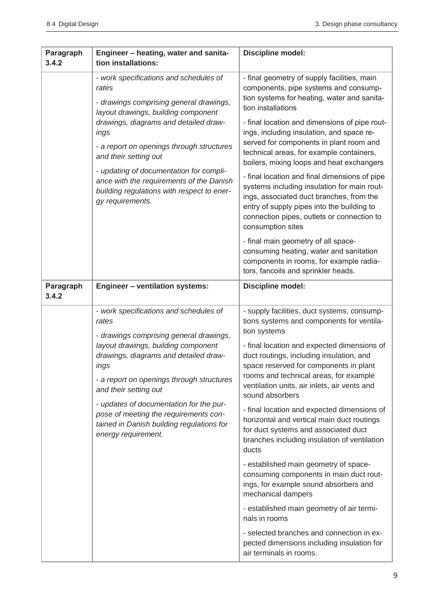| Paragraph<br>3.4.2 | Engineer - heating, water and sanita-<br>tion installations:                                                                                                                                                                                                                                                                                                                                                      | <b>Discipline model:</b>                                                                                                                                                                                                                                                                                                                                                                                                                                                                                                                                                                                                                                                                                                                                                                                                                                                                        |
|--------------------|-------------------------------------------------------------------------------------------------------------------------------------------------------------------------------------------------------------------------------------------------------------------------------------------------------------------------------------------------------------------------------------------------------------------|-------------------------------------------------------------------------------------------------------------------------------------------------------------------------------------------------------------------------------------------------------------------------------------------------------------------------------------------------------------------------------------------------------------------------------------------------------------------------------------------------------------------------------------------------------------------------------------------------------------------------------------------------------------------------------------------------------------------------------------------------------------------------------------------------------------------------------------------------------------------------------------------------|
|                    | - work specifications and schedules of<br>rates<br>- drawings comprising general drawings,<br>layout drawings, building component<br>drawings, diagrams and detailed draw-<br>ings<br>- a report on openings through structures<br>and their setting out<br>- updating of documentation for compli-<br>ance with the requirements of the Danish<br>building regulations with respect to ener-<br>gy requirements. | - final geometry of supply facilities, main<br>components, pipe systems and consump-<br>tion systems for heating, water and sanita-<br>tion installations<br>- final location and dimensions of pipe rout-<br>ings, including insulation, and space re-<br>served for components in plant room and<br>technical areas, for example containers,<br>boilers, mixing loops and heat exchangers<br>- final location and final dimensions of pipe<br>systems including insulation for main rout-<br>ings, associated duct branches, from the<br>entry of supply pipes into the building to<br>connection pipes, outlets or connection to<br>consumption sites<br>- final main geometry of all space-                                                                                                                                                                                                 |
|                    |                                                                                                                                                                                                                                                                                                                                                                                                                   | consuming heating, water and sanitation<br>components in rooms, for example radia-<br>tors, fancoils and sprinkler heads.                                                                                                                                                                                                                                                                                                                                                                                                                                                                                                                                                                                                                                                                                                                                                                       |
| Paragraph<br>3.4.2 | <b>Engineer - ventilation systems:</b>                                                                                                                                                                                                                                                                                                                                                                            | Discipline model:                                                                                                                                                                                                                                                                                                                                                                                                                                                                                                                                                                                                                                                                                                                                                                                                                                                                               |
|                    | - work specifications and schedules of<br>rates<br>- drawings comprising general drawings,<br>layout drawings, building component<br>drawings, diagrams and detailed draw-<br>ings<br>- a report on openings through structures<br>and their setting out<br>- updates of documentation for the pur-<br>pose of meeting the requirements con-<br>tained in Danish building regulations for<br>energy requirement.  | - supply facilities, duct systems, consump-<br>tions systems and components for ventila-<br>tion systems<br>- final location and expected dimensions of<br>duct routings, including insulation, and<br>space reserved for components in plant<br>rooms and technical areas, for example<br>ventilation units, air inlets, air vents and<br>sound absorbers<br>- final location and expected dimensions of<br>horizontal and vertical main duct routings<br>for duct systems and associated duct<br>branches including insulation of ventilation<br>ducts<br>- established main geometry of space-<br>consuming components in main duct rout-<br>ings, for example sound absorbers and<br>mechanical dampers<br>- established main geometry of air termi-<br>nals in rooms<br>- selected branches and connection in ex-<br>pected dimensions including insulation for<br>air terminals in rooms. |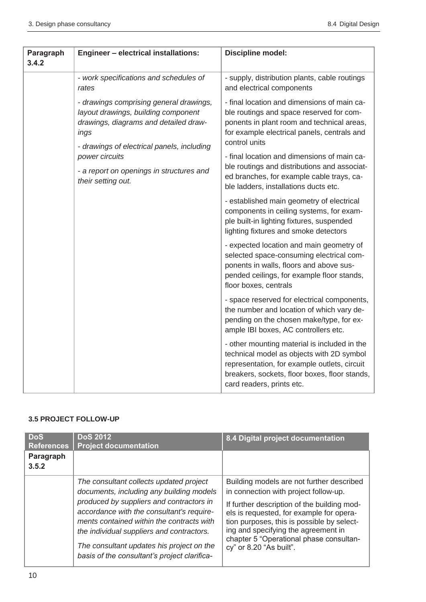| Paragraph<br>3.4.2 | <b>Engineer - electrical installations:</b>                                                                                                                                                                                                                       | Discipline model:                                                                                                                                                                                                       |
|--------------------|-------------------------------------------------------------------------------------------------------------------------------------------------------------------------------------------------------------------------------------------------------------------|-------------------------------------------------------------------------------------------------------------------------------------------------------------------------------------------------------------------------|
|                    | - work specifications and schedules of<br>rates                                                                                                                                                                                                                   | - supply, distribution plants, cable routings<br>and electrical components                                                                                                                                              |
|                    | - drawings comprising general drawings,<br>layout drawings, building component<br>drawings, diagrams and detailed draw-<br>ings<br>- drawings of electrical panels, including<br>power circuits<br>- a report on openings in structures and<br>their setting out. | - final location and dimensions of main ca-<br>ble routings and space reserved for com-<br>ponents in plant room and technical areas,<br>for example electrical panels, centrals and<br>control units                   |
|                    |                                                                                                                                                                                                                                                                   | - final location and dimensions of main ca-<br>ble routings and distributions and associat-<br>ed branches, for example cable trays, ca-<br>ble ladders, installations ducts etc.                                       |
|                    |                                                                                                                                                                                                                                                                   | - established main geometry of electrical<br>components in ceiling systems, for exam-<br>ple built-in lighting fixtures, suspended<br>lighting fixtures and smoke detectors                                             |
|                    |                                                                                                                                                                                                                                                                   | - expected location and main geometry of<br>selected space-consuming electrical com-<br>ponents in walls, floors and above sus-<br>pended ceilings, for example floor stands,<br>floor boxes, centrals                  |
|                    |                                                                                                                                                                                                                                                                   | - space reserved for electrical components,<br>the number and location of which vary de-<br>pending on the chosen make/type, for ex-<br>ample IBI boxes, AC controllers etc.                                            |
|                    |                                                                                                                                                                                                                                                                   | - other mounting material is included in the<br>technical model as objects with 2D symbol<br>representation, for example outlets, circuit<br>breakers, sockets, floor boxes, floor stands,<br>card readers, prints etc. |

#### **3.5 PROJECT FOLLOW-UP**

| <b>DoS</b><br><b>References</b> | <b>DoS 2012</b><br><b>Project documentation</b>                                                                                                                                                                                                                              | 8.4 Digital project documentation                                                                                                                                                                                                                  |
|---------------------------------|------------------------------------------------------------------------------------------------------------------------------------------------------------------------------------------------------------------------------------------------------------------------------|----------------------------------------------------------------------------------------------------------------------------------------------------------------------------------------------------------------------------------------------------|
| Paragraph<br>3.5.2              |                                                                                                                                                                                                                                                                              |                                                                                                                                                                                                                                                    |
|                                 | The consultant collects updated project<br>documents, including any building models                                                                                                                                                                                          | Building models are not further described<br>in connection with project follow-up.                                                                                                                                                                 |
|                                 | produced by suppliers and contractors in<br>accordance with the consultant's require-<br>ments contained within the contracts with<br>the individual suppliers and contractors.<br>The consultant updates his project on the<br>basis of the consultant's project clarifica- | If further description of the building mod-<br>els is requested, for example for opera-<br>tion purposes, this is possible by select-<br>ing and specifying the agreement in<br>chapter 5 "Operational phase consultan-<br>cy" or 8.20 "As built". |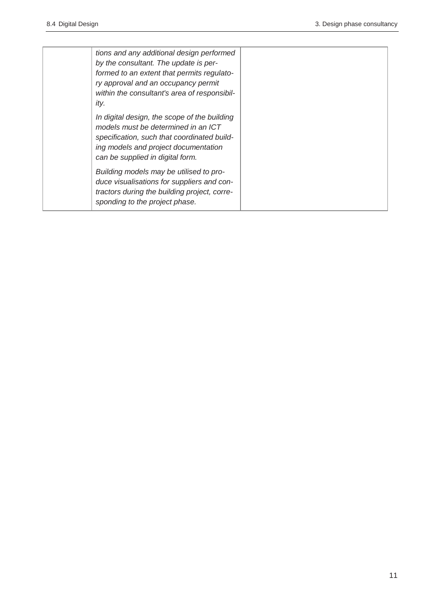| tions and any additional design performed<br>by the consultant. The update is per-<br>formed to an extent that permits regulato-<br>ry approval and an occupancy permit<br>within the consultant's area of responsibil-<br>ity. |  |
|---------------------------------------------------------------------------------------------------------------------------------------------------------------------------------------------------------------------------------|--|
| In digital design, the scope of the building<br>models must be determined in an ICT<br>specification, such that coordinated build-<br>ing models and project documentation<br>can be supplied in digital form.                  |  |
| Building models may be utilised to pro-<br>duce visualisations for suppliers and con-<br>tractors during the building project, corre-<br>sponding to the project phase.                                                         |  |